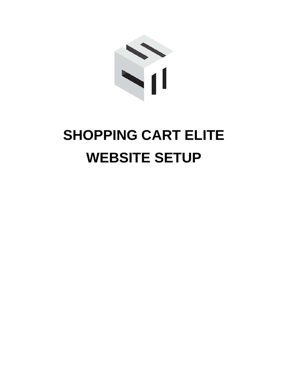

# **SHOPPING CART ELITE WEBSITE SETUP**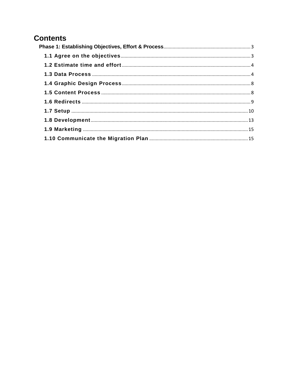# **Contents**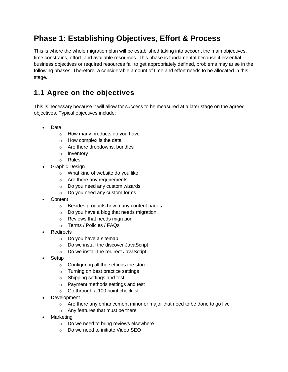# <span id="page-2-0"></span>**Phase 1: Establishing Objectives, Effort & Process**

This is where the whole migration plan will be established taking into account the main objectives, time constrains, effort, and available resources. This phase is fundamental because if essential business objectives or required resources fail to get appropriately defined, problems may arise in the following phases. Therefore, a considerable amount of time and effort needs to be allocated in this stage.

# <span id="page-2-1"></span>**1.1 Agree on the objectives**

This is necessary because it will allow for success to be measured at a later stage on the agreed objectives. Typical objectives include:

- Data
	- o How many products do you have
	- o How complex is the data
	- o Are there dropdowns, bundles
	- o Inventory
	- o Rules
- Graphic Design
	- o What kind of website do you like
	- o Are there any requirements
	- o Do you need any custom wizards
	- o Do you need any custom forms
- Content
	- o Besides products how many content pages
	- o Do you have a blog that needs migration
	- o Reviews that needs migration
	- o Terms / Policies / FAQs
- **Redirects** 
	- o Do you have a sitemap
	- o Do we install the discover JavaScript
	- o Do we install the redirect JavaScript
- Setup
	- o Configuring all the settings the store
	- o Turning on best practice settings
	- o Shipping settings and test
	- o Payment methods settings and test
	- o Go through a 100 point checklist
- Development
	- $\circ$  Are there any enhancement minor or major that need to be done to go live
	- o Any features that must be there
- Marketing
	- o Do we need to bring reviews elsewhere
	- o Do we need to initiate Video SEO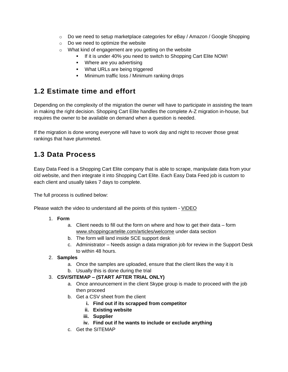- $\circ$  Do we need to setup marketplace categories for eBay / Amazon / Google Shopping
- o Do we need to optimize the website
- o What kind of engagement are you getting on the website
	- If it is under 40% you need to switch to Shopping Cart Elite NOW!
	- Where are you advertising
	- **What URLs are being triggered**
	- **Minimum traffic loss / Minimum ranking drops**

# <span id="page-3-0"></span>**1.2 Estimate time and effort**

Depending on the complexity of the migration the owner will have to participate in assisting the team in making the right decision. Shopping Cart Elite handles the complete A-Z migration in-house, but requires the owner to be available on demand when a question is needed.

If the migration is done wrong everyone will have to work day and night to recover those great rankings that have plummeted.

# <span id="page-3-1"></span>**1.3 Data Process**

Easy Data Feed is a Shopping Cart Elite company that is able to scrape, manipulate data from your old website, and then integrate it into Shopping Cart Elite. Each Easy Data Feed job is custom to each client and usually takes 7 days to complete.

The full process is outlined below:

Please watch the video to understand all the points of this system - [VIDEO](http://videos.shoppingcartelite.com/medias/ebr7mgak8q)

#### 1. **Form**

- a. Client needs to fill out the form on where and how to get their data form [www.shoppingcartelite.com/articles/welcome](http://www.shoppingcartelite.com/articles/welcome) under data section
- b. The form will land inside SCE support desk
- c. Administrator Needs assign a data migration job for review in the Support Desk to within 48 hours.

#### 2. **Samples**

- a. Once the samples are uploaded, ensure that the client likes the way it is
- b. Usually this is done during the trial

#### 3. **CSV/SITEMAP – (START AFTER TRIAL ONLY)**

- a. Once announcement in the client Skype group is made to proceed with the job then proceed
- b. Get a CSV sheet from the client
	- **i. Find out if its scrapped from competitor**
	- **ii. Existing website**
	- **iii. Supplier**
	- **iv. Find out if he wants to include or exclude anything**
- c. Get the SITEMAP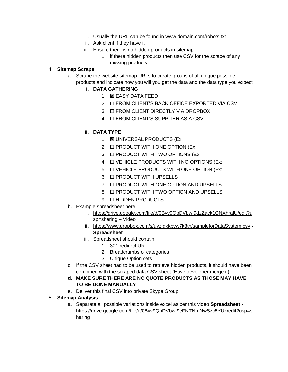- i. Usually the URL can be found in [www.domain.com/robots.txt](http://www.domain.com/robots.txt)
- ii. Ask client if they have it
- iii. Ensure there is no hidden products in sitemap
	- 1. if there hidden products then use CSV for the scrape of any missing products

#### 4. **Sitemap Scrape**

a. Scrape the website sitemap URLs to create groups of all unique possible products and indicate how you will you get the data and the data type you expect

#### **i. DATA GATHERING**

- 1. ☒ EASY DATA FEED
- 2. ☐ FROM CLIENT'S BACK OFFICE EXPORTED VIA CSV
- 3. ☐ FROM CLIENT DIRECTLY VIA DROPBOX
- 4. ☐ FROM CLIENT'S SUPPLIER AS A CSV

#### **ii. DATA TYPE**

- 1. **EX UNIVERSAL PRODUCTS (Ex:**
- 2.  $\Box$  PRODUCT WITH ONE OPTION (Ex:
- 3. ☐ PRODUCT WITH TWO OPTIONS (Ex:
- 4. ☐ VEHICLE PRODUCTS WITH NO OPTIONS (Ex:
- 5. □ VEHICLE PRODUCTS WITH ONE OPTION (Ex:
- 6. ☐ PRODUCT WITH UPSELLS
- 7. ☐ PRODUCT WITH ONE OPTION AND UPSELLS
- 8. ☐ PRODUCT WITH TWO OPTION AND UPSELLS
- 9. □ HIDDEN PRODUCTS
- b. Example spreadsheet here
	- i. [https://drive.google.com/file/d/0Byv9QpDVbwf9dzZack1GNXhralU/edit?u](https://drive.google.com/file/d/0Byv9QpDVbwf9dzZack1GNXhralU/edit?usp=sharing) [sp=sharing](https://drive.google.com/file/d/0Byv9QpDVbwf9dzZack1GNXhralU/edit?usp=sharing) – Video
	- **ii.** <https://www.dropbox.com/s/uyzfgkkbvw7k8tn/sampleforDataSystem.csv> **- Spreadsheet**
	- iii. Spreadsheet should contain:
		- 1. 301 redirect URL
		- 2. Breadcrumbs of categories
		- 3. Unique Option sets
- c. If the CSV sheet had to be used to retrieve hidden products, it should have been combined with the scraped data CSV sheet (Have developer merge it)
- **d. MAKE SURE THERE ARE NO QUOTE PRODUCTS AS THOSE MAY HAVE TO BE DONE MANUALLY**
- e. Deliver this final CSV into private Skype Group
- 5. **Sitemap Analysis**
	- a. Separate all possible variations inside excel as per this video **Spreadsheet**  [https://drive.google.com/file/d/0Byv9QpDVbwf9eFNTNmNwSzc5YUk/edit?usp=s](https://drive.google.com/file/d/0Byv9QpDVbwf9eFNTNmNwSzc5YUk/edit?usp=sharing) [haring](https://drive.google.com/file/d/0Byv9QpDVbwf9eFNTNmNwSzc5YUk/edit?usp=sharing)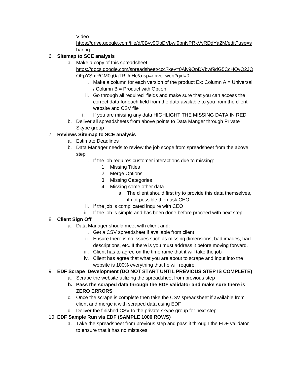Video -

[https://drive.google.com/file/d/0Byv9QpDVbwf9bnNPRkVvRDdYa2M/edit?usp=s](https://drive.google.com/file/d/0Byv9QpDVbwf9bnNPRkVvRDdYa2M/edit?usp=sharing) [haring](https://drive.google.com/file/d/0Byv9QpDVbwf9bnNPRkVvRDdYa2M/edit?usp=sharing)

# 6. **Sitemap to SCE analysis**

a. Make a copy of this spreadsheet

[https://docs.google.com/spreadsheet/ccc?key=0Aiv9QpDVbwf9dG5CcHQyQ2JQ](https://docs.google.com/spreadsheet/ccc?key=0Aiv9QpDVbwf9dG5CcHQyQ2JQOFpYSmRCM0g0aTRUdHc&usp=drive_web#gid=0) [OFpYSmRCM0g0aTRUdHc&usp=drive\\_web#gid=0](https://docs.google.com/spreadsheet/ccc?key=0Aiv9QpDVbwf9dG5CcHQyQ2JQOFpYSmRCM0g0aTRUdHc&usp=drive_web#gid=0)

- i. Make a column for each version of the product Ex: Column  $A =$  Universal / Column B = Product with Option
- ii. Go through all required fields and make sure that you can access the correct data for each field from the data available to you from the client website and CSV file
- i. If you are missing any data HIGHLIGHT THE MISSING DATA IN RED
- b. Deliver all spreadsheets from above points to Data Manger through Private Skype group

# 7. **Reviews Sitemap to SCE analysis**

- a. Estimate Deadlines
- b. Data Manager needs to review the job scope from spreadsheet from the above step
	- i. If the job requires customer interactions due to missing:
		- 1. Missing Titles
		- 2. Merge Options
		- 3. Missing Categories
		- 4. Missing some other data
			- a. The client should first try to provide this data themselves, if not possible then ask CEO
	- ii. If the job is complicated inquire with CEO
	- iii. If the job is simple and has been done before proceed with next step

# 8. **Client Sign Off**

- a. Data Manager should meet with client and:
	- i. Get a CSV spreadsheet if available from client
	- ii. Ensure there is no issues such as missing dimensions, bad images, bad descriptions, etc. If there is you must address it before moving forward.
	- iii. Client has to agree on the timeframe that it will take the job
	- iv. Client has agree that what you are about to scrape and input into the website is 100% everything that he will require.

## 9. **EDF Scrape Development (DO NOT START UNTIL PREVIOUS STEP IS COMPLETE)**

- a. Scrape the website utilizing the spreadsheet from previous step
- **b. Pass the scraped data through the EDF validator and make sure there is ZERO ERRORS**
- c. Once the scrape is complete then take the CSV spreadsheet if available from client and merge it with scraped data using EDF
- d. Deliver the finished CSV to the private skype group for next step

## 10. **EDF Sample Run via EDF (SAMPLE 1000 ROWS)**

a. Take the spreadsheet from previous step and pass it through the EDF validator to ensure that it has no mistakes.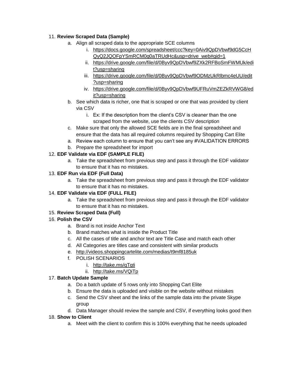## 11. **Review Scraped Data (Sample)**

- a. Align all scraped data to the appropriate SCE columns
	- i. [https://docs.google.com/spreadsheet/ccc?key=0Aiv9QpDVbwf9dG5CcH](https://docs.google.com/spreadsheet/ccc?key=0Aiv9QpDVbwf9dG5CcHQyQ2JQOFpYSmRCM0g0aTRUdHc&usp=drive_web#gid=1) [QyQ2JQOFpYSmRCM0g0aTRUdHc&usp=drive\\_web#gid=1](https://docs.google.com/spreadsheet/ccc?key=0Aiv9QpDVbwf9dG5CcHQyQ2JQOFpYSmRCM0g0aTRUdHc&usp=drive_web#gid=1)
	- ii. [https://drive.google.com/file/d/0Byv9QpDVbwf9ZXk2RFBoSmFWMUk/edi](https://drive.google.com/file/d/0Byv9QpDVbwf9ZXk2RFBoSmFWMUk/edit?usp=sharing) [t?usp=sharing](https://drive.google.com/file/d/0Byv9QpDVbwf9ZXk2RFBoSmFWMUk/edit?usp=sharing)
	- iii. [https://drive.google.com/file/d/0Byv9QpDVbwf9ODMzUkRlbmc4eUU/edit](https://drive.google.com/file/d/0Byv9QpDVbwf9ODMzUkRlbmc4eUU/edit?usp=sharing) [?usp=sharing](https://drive.google.com/file/d/0Byv9QpDVbwf9ODMzUkRlbmc4eUU/edit?usp=sharing)
	- iv. [https://drive.google.com/file/d/0Byv9QpDVbwf9UFRuVmZEZkRVWG8/ed](https://drive.google.com/file/d/0Byv9QpDVbwf9UFRuVmZEZkRVWG8/edit?usp=sharing) [it?usp=sharing](https://drive.google.com/file/d/0Byv9QpDVbwf9UFRuVmZEZkRVWG8/edit?usp=sharing)
- b. See which data is richer, one that is scraped or one that was provided by client via CSV
	- i. Ex: If the description from the client's CSV is cleaner than the one scraped from the website, use the clients CSV description
- c. Make sure that only the allowed SCE fields are in the final spreadsheet and ensure that the data has all required columns required by Shopping Cart Elite
- a. Review each column to ensure that you can't see any #VALIDATION ERRORS
- b. Prepare the spreadsheet for import

## 12. **EDF Validate via EDF (SAMPLE FILE)**

a. Take the spreadsheet from previous step and pass it through the EDF validator to ensure that it has no mistakes.

## 13. **EDF Run via EDF (Full Data)**

a. Take the spreadsheet from previous step and pass it through the EDF validator to ensure that it has no mistakes.

## 14. **EDF Validate via EDF (FULL FILE)**

a. Take the spreadsheet from previous step and pass it through the EDF validator to ensure that it has no mistakes.

## 15. **Review Scraped Data (Full)**

## 16. **Polish the CSV**

- a. Brand is not inside Anchor Text
- b. Brand matches what is inside the Product Title
- c. All the cases of title and anchor text are Title Case and match each other
- d. All Categories are titles case and consistent with similar products
- e. <http://videos.shoppingcartelite.com/medias/t9mf8185uk>
- f. POLISH SCENARIOS
	- i. <http://take.ms/qTgti>
	- ii. <http://take.ms/VQiTp>

#### 17. **Batch Update Sample**

- a. Do a batch update of 5 rows only into Shopping Cart Elite
- b. Ensure the data is uploaded and visible on the website without mistakes
- c. Send the CSV sheet and the links of the sample data into the private Skype group
- d. Data Manager should review the sample and CSV, if everything looks good then

#### 18. **Show to Client**

a. Meet with the client to confirm this is 100% everything that he needs uploaded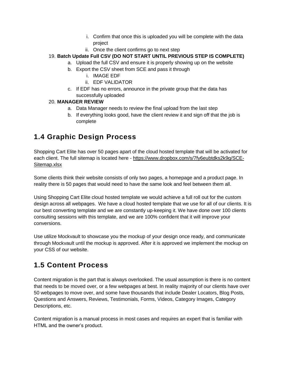- i. Confirm that once this is uploaded you will be complete with the data project
- ii. Once the client confirms go to next step
- 19. **Batch Update Full CSV (DO NOT START UNTIL PREVIOUS STEP IS COMPLETE)**
	- a. Upload the full CSV and ensure it is properly showing up on the website
	- b. Export the CSV sheet from SCE and pass it through
		- i. IMAGE EDF
			- ii. EDF VALIDATOR
	- c. If EDF has no errors, announce in the private group that the data has successfully uploaded

## 20. **MANAGER REVIEW**

- a. Data Manager needs to review the final upload from the last step
- b. If everything looks good, have the client review it and sign off that the job is complete

# <span id="page-7-0"></span>**1.4 Graphic Design Process**

Shopping Cart Elite has over 50 pages apart of the cloud hosted template that will be activated for each client. The full sitemap is located here - [https://www.dropbox.com/s/7fy6eubtdks2k9g/SCE-](https://www.dropbox.com/s/7fy6eubtdks2k9g/SCE-Sitemap.xlsx)[Sitemap.xlsx](https://www.dropbox.com/s/7fy6eubtdks2k9g/SCE-Sitemap.xlsx)

Some clients think their website consists of only two pages, a homepage and a product page. In reality there is 50 pages that would need to have the same look and feel between them all.

Using Shopping Cart Elite cloud hosted template we would achieve a full roll out for the custom design across all webpages. We have a cloud hosted template that we use for all of our clients. It is our best converting template and we are constantly up-keeping it. We have done over 100 clients consulting sessions with this template, and we are 100% confident that it will improve your conversions.

Use utilize Mockvault to showcase you the mockup of your design once ready, and communicate through Mockvault until the mockup is approved. After it is approved we implement the mockup on your CSS of our website.

# <span id="page-7-1"></span>**1.5 Content Process**

Content migration is the part that is always overlooked. The usual assumption is there is no content that needs to be moved over, or a few webpages at best. In reality majority of our clients have over 50 webpages to move over, and some have thousands that include Dealer Locators, Blog Posts, Questions and Answers, Reviews, Testimonials, Forms, Videos, Category Images, Category Descriptions, etc.

Content migration is a manual process in most cases and requires an expert that is familiar with HTML and the owner's product.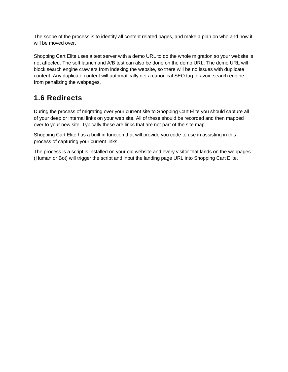The scope of the process is to identify all content related pages, and make a plan on who and how it will be moved over.

Shopping Cart Elite uses a test server with a demo URL to do the whole migration so your website is not affected. The soft launch and A/B test can also be done on the demo URL. The demo URL will block search engine crawlers from indexing the website, so there will be no issues with duplicate content. Any duplicate content will automatically get a canonical SEO tag to avoid search engine from penalizing the webpages.

# <span id="page-8-0"></span>**1.6 Redirects**

During the process of migrating over your current site to Shopping Cart Elite you should capture all of your deep or internal links on your web site. All of these should be recorded and then mapped over to your new site. Typically these are links that are not part of the site map.

Shopping Cart Elite has a built in function that will provide you code to use in assisting in this process of capturing your current links.

The process is a script is installed on your old website and every visitor that lands on the webpages (Human or Bot) will trigger the script and input the landing page URL into Shopping Cart Elite.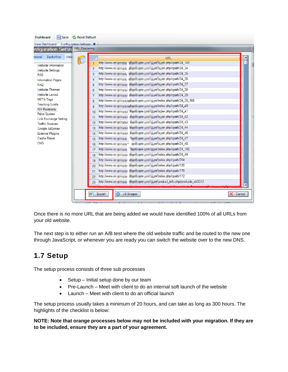Once there is no more URL that are being added we would have identified 100% of all URLs from your old website.

The next step is to either run an A/B test where the old website traffic and be routed to the new one through JavaScript, or whenever you are ready you can switch the website over to the new DNS.

# <span id="page-9-0"></span>**1.7 Setup**

The setup process consists of three sub processes

- Setup Initial setup done by our team
- Pre-Launch Meet with client to do an internal soft launch of the website
- Launch Meet with client to do an official launch

The setup process usually takes a minimum of 20 hours, and can take as long as 300 hours. The highlights of the checklist is below:

**NOTE: Note that orange processes below may not be included with your migration. If they are to be included, ensure they are a part of your agreement.**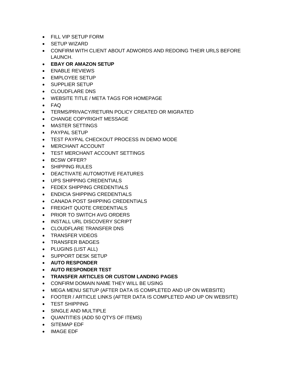- FILL VIP SETUP FORM
- SETUP WIZARD
- CONFIRM WITH CLIENT ABOUT ADWORDS AND REDOING THEIR URLS BEFORE LAUNCH.
- **EBAY OR AMAZON SETUP**
- ENABLE REVIEWS
- EMPLOYEE SETUP
- SUPPLIER SETUP
- CLOUDFLARE DNS
- WEBSITE TITLE / META TAGS FOR HOMEPAGE
- FAQ
- TERMS/PRIVACY/RETURN POLICY CREATED OR MIGRATED
- CHANGE COPYRIGHT MESSAGE
- MASTER SETTINGS
- PAYPAL SETUP
- TEST PAYPAL CHECKOUT PROCESS IN DEMO MODE
- MERCHANT ACCOUNT
- TEST MERCHANT ACCOUNT SETTINGS
- BCSW OFFER?
- SHIPPING RULES
- DEACTIVATE AUTOMOTIVE FEATURES
- UPS SHIPPING CREDENTIALS
- FEDEX SHIPPING CREDENTIALS
- ENDICIA SHIPPING CREDENTIALS
- CANADA POST SHIPPING CREDENTIALS
- **FREIGHT QUOTE CREDENTIALS**
- PRIOR TO SWITCH AVG ORDERS
- INSTALL URL DISCOVERY SCRIPT
- CLOUDFLARE TRANSFER DNS
- TRANSFER VIDEOS
- TRANSFER BADGES
- PLUGINS (LIST ALL)
- SUPPORT DESK SETUP
- **AUTO RESPONDER**
- **AUTO RESPONDER TEST**
- **TRANSFER ARTICLES OR CUSTOM LANDING PAGES**
- CONFIRM DOMAIN NAME THEY WILL BE USING
- MEGA MENU SETUP (AFTER DATA IS COMPLETED AND UP ON WEBSITE)
- FOOTER / ARTICLE LINKS (AFTER DATA IS COMPLETED AND UP ON WEBSITE)
- TEST SHIPPING
- SINGLE AND MULTIPLE
- QUANTITIES (ADD 50 QTYS OF ITEMS)
- SITEMAP EDF
- IMAGE EDF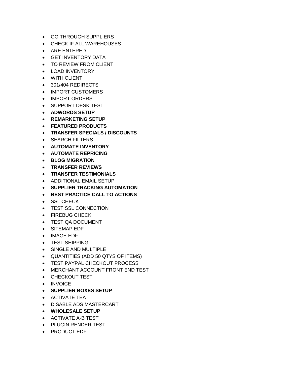- GO THROUGH SUPPLIERS
- CHECK IF ALL WAREHOUSES
- ARE ENTERED
- **GET INVENTORY DATA**
- TO REVIEW FROM CLIENT
- LOAD INVENTORY
- WITH CLIENT
- 301/404 REDIRECTS
- IMPORT CUSTOMERS
- IMPORT ORDERS
- SUPPORT DESK TEST
- **ADWORDS SETUP**
- **REMARKETING SETUP**
- **FEATURED PRODUCTS**
- **TRANSFER SPECIALS / DISCOUNTS**
- **SEARCH FILTERS**
- **AUTOMATE INVENTORY**
- **AUTOMATE REPRICING**
- **BLOG MIGRATION**
- **TRANSFER REVIEWS**
- **TRANSFER TESTIMONIALS**
- ADDITIONAL EMAIL SETUP
- **SUPPLIER TRACKING AUTOMATION**
- **BEST PRACTICE CALL TO ACTIONS**
- SSL CHECK
- TEST SSL CONNECTION
- FIREBUG CHECK
- TEST QA DOCUMENT
- SITEMAP EDF
- IMAGE EDF
- TEST SHIPPING
- SINGLE AND MULTIPLE
- QUANTITIES (ADD 50 QTYS OF ITEMS)
- TEST PAYPAL CHECKOUT PROCESS
- MERCHANT ACCOUNT FRONT END TEST
- CHECKOUT TEST
- INVOICE
- **SUPPLIER BOXES SETUP**
- **ACTIVATE TEA**
- DISABLE ADS MASTERCART
- **WHOLESALE SETUP**
- ACTIVATE A-B TEST
- PLUGIN RENDER TEST
- PRODUCT EDF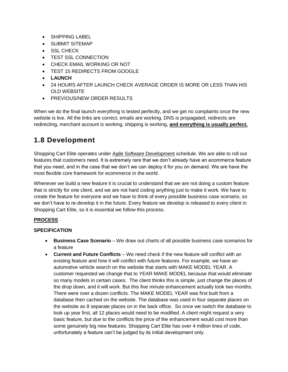- **SHIPPING LABEL**
- **SUBMIT SITEMAP**
- SSL CHECK
- **TEST SSL CONNECTION**
- CHECK EMAIL WORKING OR NOT
- TEST 15 REDIRECTS FROM GOOGLE
- **LAUNCH**
- 24 HOURS AFTER LAUNCH CHECK AVERAGE ORDER IS MORE OR LESS THAN HIS OLD WEBSITE
- **PREVIOUS/NEW ORDER RESULTS**

When we do the final launch everything is tested perfectly, and we get no complaints once the new website is live. All the links are correct, emails are working, DNS is propagated, redirects are redirecting, merchant account is working, shipping is working, **and everything is usually perfect.** 

# <span id="page-12-0"></span>**1.8 Development**

Shopping Cart Elite operates under Agile Software [Development](http://en.wikipedia.org/wiki/Agile_software_development) schedule. We are able to roll out features that customers need. It is extremely rare that we don't already have an ecommerce feature that you need, and in the case that we don't we can deploy it for you on demand. We are have the most flexible core framework for ecommerce in the world.

Whenever we build a new feature it is crucial to understand that we are not doing a custom feature that is strictly for one client, and we are not hard coding anything just to make it work. We have to create the feature for everyone and we have to think of every possible business case scenario, so we don't have to re-develop it in the future. Every feature we develop is released to every client in Shopping Cart Elite, so it is essential we follow this process.

## **PROCESS**

## **SPECIFICATION**

- **Business Case Scenario** We draw out charts of all possible business case scenarios for a feature
- **Current and Future Conflicts** We need check if the new feature will conflict with an existing feature and how it will conflict with future features. For example, we have an automotive vehicle search on the website that starts with MAKE MODEL YEAR. A customer requested we change that to YEAR MAKE MODEL because that would eliminate so many models in certain cases. The client thinks this is simple, just change the places of the drop down, and it will work. But this five minute enhancement actually took two months. There were over a dozen conflicts. The MAKE MODEL YEAR was first built from a database then cached on the website. The database was used in four separate places on the website as 8 separate places on in the back office. So once we switch the database to look up year first, all 12 places would need to be modified. A client might request a very basic feature, but due to the conflicts the price of the enhancement would cost more than some genuinely big new features. Shopping Cart Elite has over 4 million lines of code, unfortunately a feature can't be judged by its initial development only.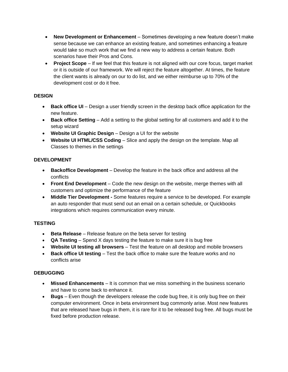- **New Development or Enhancement** Sometimes developing a new feature doesn't make sense because we can enhance an existing feature, and sometimes enhancing a feature would take so much work that we find a new way to address a certain feature. Both scenarios have their Pros and Cons.
- **Project Scope** If we feel that this feature is not aligned with our core focus, target market or it is outside of our framework. We will reject the feature altogether. At times, the feature the client wants is already on our to do list, and we either reimburse up to 70% of the development cost or do it free.

## **DESIGN**

- **Back office UI** Design a user friendly screen in the desktop back office application for the new feature.
- **Back office Setting** Add a setting to the global setting for all customers and add it to the setup wizard
- **Website UI Graphic Design** Design a UI for the website
- **Website UI HTML/CSS Coding** Slice and apply the design on the template. Map all Classes to themes in the settings

#### **DEVELOPMENT**

- **Backoffice Development** Develop the feature in the back office and address all the conflicts
- **Front End Development** Code the new design on the website, merge themes with all customers and optimize the performance of the feature
- **Middle Tier Development -** Some features require a service to be developed. For example an auto responder that must send out an email on a certain schedule, or Quickbooks integrations which requires communication every minute.

#### **TESTING**

- **Beta Release** Release feature on the beta server for testing
- **QA Testing** Spend X days testing the feature to make sure it is bug free
- **Website UI testing all browsers** Test the feature on all desktop and mobile browsers
- **Back office UI testing** Test the back office to make sure the feature works and no conflicts arise

#### **DEBUGGING**

- **Missed Enhancements** It is common that we miss something in the business scenario and have to come back to enhance it.
- **Bugs** Even though the developers release the code bug free, it is only bug free on their computer environment. Once in beta environment bug commonly arise. Most new features that are released have bugs in them, it is rare for it to be released bug free. All bugs must be fixed before production release.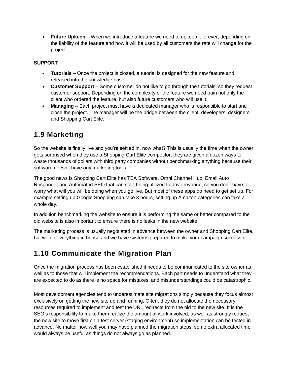**Future Upkeep** – When we introduce a feature we need to upkeep it forever, depending on the liability of the feature and how it will be used by all customers the rate will change for the project.

## **SUPPORT**

- **Tutorials** Once the project is closed, a tutorial is designed for the new feature and released into the knowledge base.
- **Customer Support** Some customer do not like to go through the tutorials, so they request customer support. Depending on the complexity of the feature we need train not only the client who ordered the feature, but also future customers who will use it.
- **Managing** Each project must have a dedicated manager who is responsible to start and close the project. The manager will be the bridge between the client, developers, designers and Shopping Cart Elite.

# <span id="page-14-0"></span>**1.9 Marketing**

So the website is finally live and you're settled in, now what? This is usually the time when the owner gets surprised when they use a Shopping Cart Elite competitor, they are given a dozen ways to waste thousands of dollars with third party companies without benchmarking anything because their software doesn't have any marketing tools.

The good news is Shopping Cart Elite has TEA Software, Omni Channel Hub, Email Auto Responder and Automated SEO that can start being utilized to drive revenue, so you don't have to worry what will you will be doing when you go live. But most of these apps do need to get set up. For example setting up Google Shopping can take 3 hours, setting up Amazon categories can take a whole day.

In addition benchmarking the website to ensure it is performing the same or better compared to the old website is also important to ensure there is no leaks in the new website.

The marketing process is usually negotiated in advance between the owner and Shopping Cart Elite, but we do everything in house and we have systems prepared to make your campaign successful.

# <span id="page-14-1"></span>**1.10 Communicate the Migration Plan**

Once the migration process has been established it needs to be communicated to the site owner as well as to those that will implement the recommendations. Each part needs to understand what they are expected to do as there is no space for mistakes, and misunderstandings could be catastrophic.

Most development agencies tend to underestimate site migrations simply because they focus almost exclusively on getting the new site up and running. Often, they do not allocate the necessary resources required to implement and test the URL redirects from the old to the new site. It is the SEO's responsibility to make them realize the amount of work involved, as well as strongly request the new site to move first on a test server (staging environment) so implementation can be tested in advance. No matter how well you may have planned the migration steps, some extra allocated time would always be useful as things do not always go as planned.